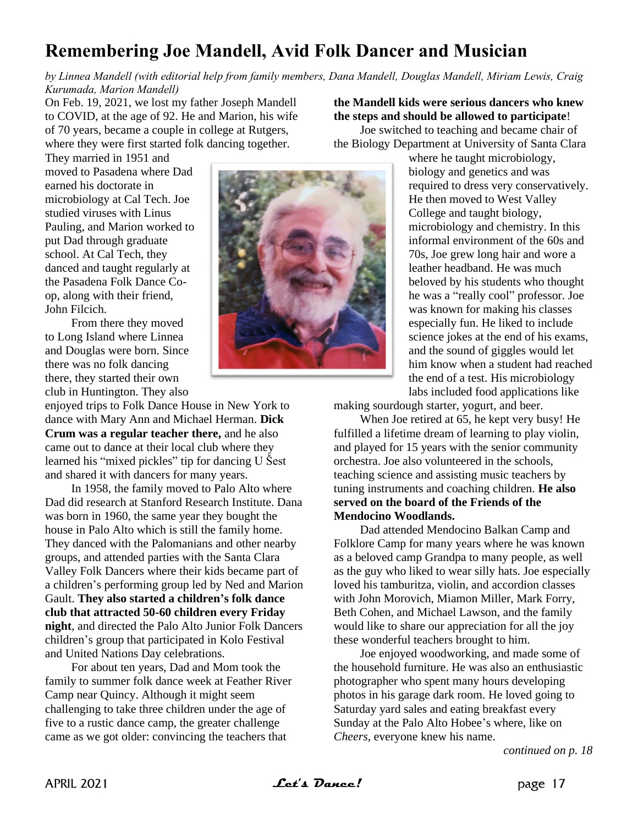## **Remembering Joe Mandell, Avid Folk Dancer and Musician**

*by Linnea Mandell (with editorial help from family members, Dana Mandell, Douglas Mandell, Miriam Lewis, Craig Kurumada, Marion Mandell)*

On Feb. 19, 2021, we lost my father Joseph Mandell to COVID, at the age of 92. He and Marion, his wife of 70 years, became a couple in college at Rutgers, where they were first started folk dancing together.

They married in 1951 and moved to Pasadena where Dad earned his doctorate in microbiology at Cal Tech. Joe studied viruses with Linus Pauling, and Marion worked to put Dad through graduate school. At Cal Tech, they danced and taught regularly at the Pasadena Folk Dance Coop, along with their friend, John Filcich.

From there they moved to Long Island where Linnea and Douglas were born. Since there was no folk dancing there, they started their own club in Huntington. They also

enjoyed trips to Folk Dance House in New York to dance with Mary Ann and Michael Herman. **Dick Crum was a regular teacher there,** and he also came out to dance at their local club where they learned his "mixed pickles" tip for dancing U Šest and shared it with dancers for many years.

In 1958, the family moved to Palo Alto where Dad did research at Stanford Research Institute. Dana was born in 1960, the same year they bought the house in Palo Alto which is still the family home. They danced with the Palomanians and other nearby groups, and attended parties with the Santa Clara Valley Folk Dancers where their kids became part of a children's performing group led by Ned and Marion Gault. **They also started a children's folk dance club that attracted 50-60 children every Friday night**, and directed the Palo Alto Junior Folk Dancers children's group that participated in Kolo Festival and United Nations Day celebrations.

For about ten years, Dad and Mom took the family to summer folk dance week at Feather River Camp near Quincy. Although it might seem challenging to take three children under the age of five to a rustic dance camp, the greater challenge came as we got older: convincing the teachers that



**the Mandell kids were serious dancers who knew the steps and should be allowed to participate**! Joe switched to teaching and became chair of the Biology Department at University of Santa Clara

> where he taught microbiology, biology and genetics and was required to dress very conservatively. He then moved to West Valley College and taught biology, microbiology and chemistry. In this informal environment of the 60s and 70s, Joe grew long hair and wore a leather headband. He was much beloved by his students who thought he was a "really cool" professor. Joe was known for making his classes especially fun. He liked to include science jokes at the end of his exams, and the sound of giggles would let him know when a student had reached the end of a test. His microbiology labs included food applications like

making sourdough starter, yogurt, and beer.

When Joe retired at 65, he kept very busy! He fulfilled a lifetime dream of learning to play violin, and played for 15 years with the senior community orchestra. Joe also volunteered in the schools, teaching science and assisting music teachers by tuning instruments and coaching children. **He also served on the board of the Friends of the Mendocino Woodlands.**

Dad attended Mendocino Balkan Camp and Folklore Camp for many years where he was known as a beloved camp Grandpa to many people, as well as the guy who liked to wear silly hats. Joe especially loved his tamburitza, violin, and accordion classes with John Morovich, Miamon Miller, Mark Forry, Beth Cohen, and Michael Lawson, and the family would like to share our appreciation for all the joy these wonderful teachers brought to him.

Joe enjoyed woodworking, and made some of the household furniture. He was also an enthusiastic photographer who spent many hours developing photos in his garage dark room. He loved going to Saturday yard sales and eating breakfast every Sunday at the Palo Alto Hobee's where, like on *Cheers*, everyone knew his name.

*continued on p. 18*